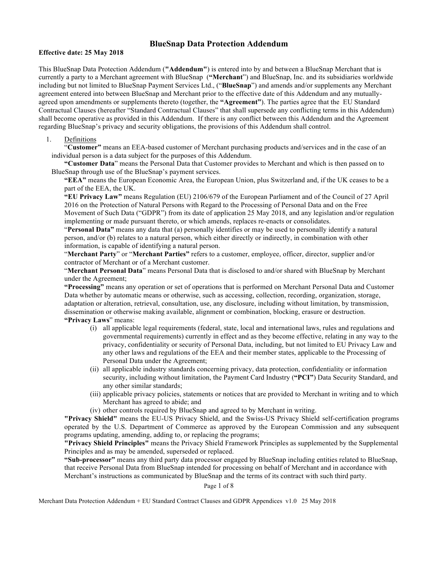# **BlueSnap Data Protection Addendum**

#### **Effective date: 25 May 2018**

This BlueSnap Data Protection Addendum (**"Addendum"**) is entered into by and between a BlueSnap Merchant that is currently a party to a Merchant agreement with BlueSnap (**"Merchant**") and BlueSnap, Inc. and its subsidiaries worldwide including but not limited to BlueSnap Payment Services Ltd., ("**BlueSnap**") and amends and/or supplements any Merchant agreement entered into between BlueSnap and Merchant prior to the effective date of this Addendum and any mutuallyagreed upon amendments or supplements thereto (together, the **"Agreement"**). The parties agree that the EU Standard Contractual Clauses (hereafter "Standard Contractual Clauses" that shall supersede any conflicting terms in this Addendum) shall become operative as provided in this Addendum. If there is any conflict between this Addendum and the Agreement regarding BlueSnap's privacy and security obligations, the provisions of this Addendum shall control.

### 1. Definitions

"**Customer"** means an EEA-based customer of Merchant purchasing products and/services and in the case of an individual person is a data subject for the purposes of this Addendum.

**"Customer Data**" means the Personal Data that Customer provides to Merchant and which is then passed on to BlueSnap through use of the BlueSnap's payment services.

**"EEA"** means the European Economic Area, the European Union, plus Switzerland and, if the UK ceases to be a part of the EEA, the UK.

**"EU Privacy Law"** means Regulation (EU) 2106/679 of the European Parliament and of the Council of 27 April 2016 on the Protection of Natural Persons with Regard to the Processing of Personal Data and on the Free Movement of Such Data ("GDPR") from its date of application 25 May 2018, and any legislation and/or regulation implementing or made pursuant thereto, or which amends, replaces re-enacts or consolidates.

"**Personal Data"** means any data that (a) personally identifies or may be used to personally identify a natural person, and/or (b) relates to a natural person, which either directly or indirectly, in combination with other information, is capable of identifying a natural person.

"**Merchant Party**" or "**Merchant Parties"** refers to a customer, employee, officer, director, supplier and/or contractor of Merchant or of a Merchant customer.

"**Merchant Personal Data**" means Personal Data that is disclosed to and/or shared with BlueSnap by Merchant under the Agreement;

**"Processing"** means any operation or set of operations that is performed on Merchant Personal Data and Customer Data whether by automatic means or otherwise, such as accessing, collection, recording, organization, storage, adaptation or alteration, retrieval, consultation, use, any disclosure, including without limitation, by transmission, dissemination or otherwise making available, alignment or combination, blocking, erasure or destruction. **"Privacy Laws**" means:

- (i) all applicable legal requirements (federal, state, local and international laws, rules and regulations and governmental requirements) currently in effect and as they become effective, relating in any way to the privacy, confidentiality or security of Personal Data, including, but not limited to EU Privacy Law and any other laws and regulations of the EEA and their member states, applicable to the Processing of Personal Data under the Agreement;
- (ii) all applicable industry standards concerning privacy, data protection, confidentiality or information security, including without limitation, the Payment Card Industry (**"PCI"**) Data Security Standard, and any other similar standards;
- (iii) applicable privacy policies, statements or notices that are provided to Merchant in writing and to which Merchant has agreed to abide; and
- (iv) other controls required by BlueSnap and agreed to by Merchant in writing.

**"Privacy Shield"** means the EU-US Privacy Shield, and the Swiss-US Privacy Shield self-certification programs operated by the U.S. Department of Commerce as approved by the European Commission and any subsequent programs updating, amending, adding to, or replacing the programs;

**"Privacy Shield Principles"** means the Privacy Shield Framework Principles as supplemented by the Supplemental Principles and as may be amended, superseded or replaced.

**"Sub-processor"** means any third party data processor engaged by BlueSnap including entities related to BlueSnap, that receive Personal Data from BlueSnap intended for processing on behalf of Merchant and in accordance with Merchant's instructions as communicated by BlueSnap and the terms of its contract with such third party.

Page 1 of 8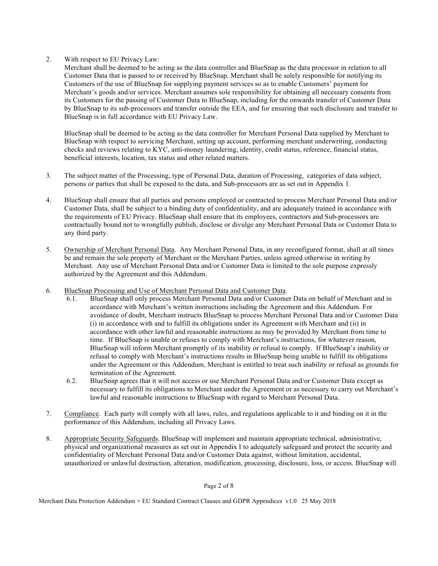2. With respect to EU Privacy Law:

Merchant shall be deemed to be acting as the data controller and BlueSnap as the data processor in relation to all Customer Data that is passed to or received by BlueSnap. Merchant shall be solely responsible for notifying its Customers of the use of BlueSnap for supplying payment services so as to enable Customers' payment for Merchant's goods and/or services. Merchant assumes sole responsibility for obtaining all necessary consents from its Customers for the passing of Customer Data to BlueSnap, including for the onwards transfer of Customer Data by BlueSnap to its sub-processors and transfer outside the EEA, and for ensuring that such disclosure and transfer to BlueSnap is in full accordance with EU Privacy Law.

BlueSnap shall be deemed to be acting as the data controller for Merchant Personal Data supplied by Merchant to BlueSnap with respect to servicing Merchant, setting up account, performing merchant underwriting, conducting checks and reviews relating to KYC, anti-money laundering, identity, credit status, reference, financial status, beneficial interests, location, tax status and other related matters.

- 3. The subject matter of the Processing, type of Personal Data, duration of Processing, categories of data subject, persons or parties that shall be exposed to the data, and Sub-processors are as set out in Appendix 1.
- 4. BlueSnap shall ensure that all parties and persons employed or contracted to process Merchant Personal Data and/or Customer Data, shall be subject to a binding duty of confidentiality, and are adequately trained in accordance with the requirements of EU Privacy. BlueSnap shall ensure that its employees, contractors and Sub-processors are contractually bound not to wrongfully publish, disclose or divulge any Merchant Personal Data or Customer Data to any third party.
- 5. Ownership of Merchant Personal Data. Any Merchant Personal Data, in any reconfigured format, shall at all times be and remain the sole property of Merchant or the Merchant Parties, unless agreed otherwise in writing by Merchant. Any use of Merchant Personal Data and/or Customer Data is limited to the sole purpose expressly authorized by the Agreement and this Addendum.
- 6. BlueSnap Processing and Use of Merchant Personal Data and Customer Data.
	- 6.1. BlueSnap shall only process Merchant Personal Data and/or Customer Data on behalf of Merchant and in accordance with Merchant's written instructions including the Agreement and this Addendum. For avoidance of doubt, Merchant instructs BlueSnap to process Merchant Personal Data and/or Customer Data (i) in accordance with and to fulfill its obligations under its Agreement with Merchant and (ii) in accordance with other lawful and reasonable instructions as may be provided by Merchant from time to time. If BlueSnap is unable or refuses to comply with Merchant's instructions, for whatever reason, BlueSnap will inform Merchant promptly of its inability or refusal to comply. If BlueSnap's inability or refusal to comply with Merchant's instructions results in BlueSnap being unable to fulfill its obligations under the Agreement or this Addendum, Merchant is entitled to treat such inability or refusal as grounds for termination of the Agreement.
	- 6.2. BlueSnap agrees that it will not access or use Merchant Personal Data and/or Customer Data except as necessary to fulfill its obligations to Merchant under the Agreement or as necessary to carry out Merchant's lawful and reasonable instructions to BlueSnap with regard to Merchant Personal Data.
- 7. Compliance. Each party will comply with all laws, rules, and regulations applicable to it and binding on it in the performance of this Addendum, including all Privacy Laws.
- 8. Appropriate Security Safeguards. BlueSnap will implement and maintain appropriate technical, administrative, physical and organizational measures as set out in Appendix I to adequately safeguard and protect the security and confidentiality of Merchant Personal Data and/or Customer Data against, without limitation, accidental, unauthorized or unlawful destruction, alteration, modification, processing, disclosure, loss, or access. BlueSnap will

Page 2 of 8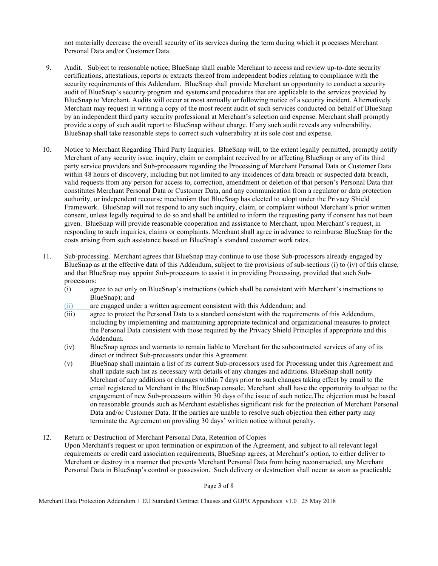not materially decrease the overall security of its services during the term during which it processes Merchant Personal Data and/or Customer Data.

- 9. Audit. Subject to reasonable notice, BlueSnap shall enable Merchant to access and review up-to-date security certifications, attestations, reports or extracts thereof from independent bodies relating to compliance with the security requirements of this Addendum. BlueSnap shall provide Merchant an opportunity to conduct a security audit of BlueSnap's security program and systems and procedures that are applicable to the services provided by BlueSnap to Merchant. Audits will occur at most annually or following notice of a security incident. Alternatively Merchant may request in writing a copy of the most recent audit of such services conducted on behalf of BlueSnap by an independent third party security professional at Merchant's selection and expense. Merchant shall promptly provide a copy of such audit report to BlueSnap without charge. If any such audit reveals any vulnerability, BlueSnap shall take reasonable steps to correct such vulnerability at its sole cost and expense.
- 10. Notice to Merchant Regarding Third Party Inquiries. BlueSnap will, to the extent legally permitted, promptly notify Merchant of any security issue, inquiry, claim or complaint received by or affecting BlueSnap or any of its third party service providers and Sub-processors regarding the Processing of Merchant Personal Data or Customer Data within 48 hours of discovery, including but not limited to any incidences of data breach or suspected data breach, valid requests from any person for access to, correction, amendment or deletion of that person's Personal Data that constitutes Merchant Personal Data or Customer Data, and any communication from a regulator or data protection authority, or independent recourse mechanism that BlueSnap has elected to adopt under the Privacy Shield Framework. BlueSnap will not respond to any such inquiry, claim, or complaint without Merchant's prior written consent, unless legally required to do so and shall be entitled to inform the requesting party if consent has not been given. BlueSnap will provide reasonable cooperation and assistance to Merchant, upon Merchant's request, in responding to such inquiries, claims or complaints. Merchant shall agree in advance to reimburse BlueSnap for the costs arising from such assistance based on BlueSnap's standard customer work rates.
- 11. Sub-processing. Merchant agrees that BlueSnap may continue to use those Sub-processors already engaged by BlueSnap as at the effective data of this Addendum, subject to the provisions of sub-sections (i) to (iv) of this clause, and that BlueSnap may appoint Sub-processors to assist it in providing Processing, provided that such Subprocessors:
	- (i) agree to act only on BlueSnap's instructions (which shall be consistent with Merchant's instructions to BlueSnap); and
	- (ii) are engaged under a written agreement consistent with this Addendum; and
	- (iii) agree to protect the Personal Data to a standard consistent with the requirements of this Addendum, including by implementing and maintaining appropriate technical and organizational measures to protect the Personal Data consistent with those required by the Privacy Shield Principles if appropriate and this Addendum.
	- (iv) BlueSnap agrees and warrants to remain liable to Merchant for the subcontracted services of any of its direct or indirect Sub-processors under this Agreement.
	- (v) BlueSnap shall maintain a list of its current Sub-processors used for Processing under this Agreement and shall update such list as necessary with details of any changes and additions. BlueSnap shall notify Merchant of any additions or changes within 7 days prior to such changes taking effect by email to the email registered to Merchant in the BlueSnap console. Merchant shall have the opportunity to object to the engagement of new Sub-processors within 30 days of the issue of such notice.The objection must be based on reasonable grounds such as Merchant establishes significant risk for the protection of Merchant Personal Data and/or Customer Data. If the parties are unable to resolve such objection then either party may terminate the Agreement on providing 30 days' written notice without penalty.
- 12. Return or Destruction of Merchant Personal Data, Retention of Copies Upon Merchant's request or upon termination or expiration of the Agreement, and subject to all relevant legal requirements or credit card association requirements, BlueSnap agrees, at Merchant's option, to either deliver to Merchant or destroy in a manner that prevents Merchant Personal Data from being reconstructed, any Merchant Personal Data in BlueSnap's control or possession. Such delivery or destruction shall occur as soon as practicable

Page 3 of 8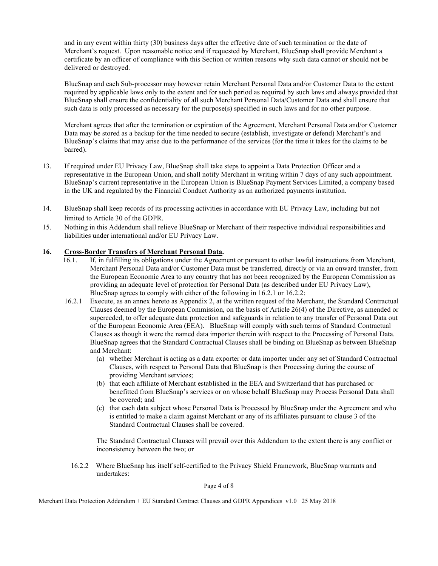and in any event within thirty (30) business days after the effective date of such termination or the date of Merchant's request. Upon reasonable notice and if requested by Merchant, BlueSnap shall provide Merchant a certificate by an officer of compliance with this Section or written reasons why such data cannot or should not be delivered or destroyed.

BlueSnap and each Sub-processor may however retain Merchant Personal Data and/or Customer Data to the extent required by applicable laws only to the extent and for such period as required by such laws and always provided that BlueSnap shall ensure the confidentiality of all such Merchant Personal Data/Customer Data and shall ensure that such data is only processed as necessary for the purpose(s) specified in such laws and for no other purpose.

Merchant agrees that after the termination or expiration of the Agreement, Merchant Personal Data and/or Customer Data may be stored as a backup for the time needed to secure (establish, investigate or defend) Merchant's and BlueSnap's claims that may arise due to the performance of the services (for the time it takes for the claims to be barred).

- 13. If required under EU Privacy Law, BlueSnap shall take steps to appoint a Data Protection Officer and a representative in the European Union, and shall notify Merchant in writing within 7 days of any such appointment. BlueSnap's current representative in the European Union is BlueSnap Payment Services Limited, a company based in the UK and regulated by the Financial Conduct Authority as an authorized payments institution.
- 14. BlueSnap shall keep records of its processing activities in accordance with EU Privacy Law, including but not limited to Article 30 of the GDPR.
- 15. Nothing in this Addendum shall relieve BlueSnap or Merchant of their respective individual responsibilities and liabilities under international and/or EU Privacy Law.

## **16. Cross-Border Transfers of Merchant Personal Data.**

- 16.1. If, in fulfilling its obligations under the Agreement or pursuant to other lawful instructions from Merchant, Merchant Personal Data and/or Customer Data must be transferred, directly or via an onward transfer, from the European Economic Area to any country that has not been recognized by the European Commission as providing an adequate level of protection for Personal Data (as described under EU Privacy Law), BlueSnap agrees to comply with either of the following in 16.2.1 or 16.2.2:
- 16.2.1 Execute, as an annex hereto as Appendix 2, at the written request of the Merchant, the Standard Contractual Clauses deemed by the European Commission, on the basis of Article 26(4) of the Directive, as amended or superceded, to offer adequate data protection and safeguards in relation to any transfer of Personal Data out of the European Economic Area (EEA). BlueSnap will comply with such terms of Standard Contractual Clauses as though it were the named data importer therein with respect to the Processing of Personal Data. BlueSnap agrees that the Standard Contractual Clauses shall be binding on BlueSnap as between BlueSnap and Merchant:
	- (a) whether Merchant is acting as a data exporter or data importer under any set of Standard Contractual Clauses, with respect to Personal Data that BlueSnap is then Processing during the course of providing Merchant services;
	- (b) that each affiliate of Merchant established in the EEA and Switzerland that has purchased or benefitted from BlueSnap's services or on whose behalf BlueSnap may Process Personal Data shall be covered; and
	- (c) that each data subject whose Personal Data is Processed by BlueSnap under the Agreement and who is entitled to make a claim against Merchant or any of its affiliates pursuant to clause 3 of the Standard Contractual Clauses shall be covered.

The Standard Contractual Clauses will prevail over this Addendum to the extent there is any conflict or inconsistency between the two; or

16.2.2 Where BlueSnap has itself self-certified to the Privacy Shield Framework, BlueSnap warrants and undertakes:

Page 4 of 8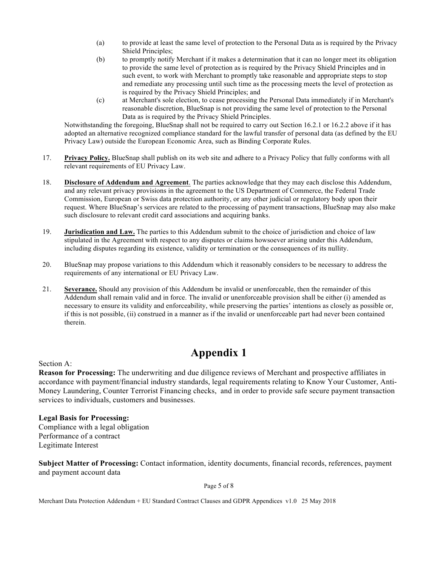- (a) to provide at least the same level of protection to the Personal Data as is required by the Privacy Shield Principles;
- (b) to promptly notify Merchant if it makes a determination that it can no longer meet its obligation to provide the same level of protection as is required by the Privacy Shield Principles and in such event, to work with Merchant to promptly take reasonable and appropriate steps to stop and remediate any processing until such time as the processing meets the level of protection as is required by the Privacy Shield Principles; and
- (c) at Merchant's sole election, to cease processing the Personal Data immediately if in Merchant's reasonable discretion, BlueSnap is not providing the same level of protection to the Personal Data as is required by the Privacy Shield Principles.

Notwithstanding the foregoing, BlueSnap shall not be required to carry out Section 16.2.1 or 16.2.2 above if it has adopted an alternative recognized compliance standard for the lawful transfer of personal data (as defined by the EU Privacy Law) outside the European Economic Area, such as Binding Corporate Rules.

- 17. **Privacy Policy.** BlueSnap shall publish on its web site and adhere to a Privacy Policy that fully conforms with all relevant requirements of EU Privacy Law.
- 18. **Disclosure of Addendum and Agreement**. The parties acknowledge that they may each disclose this Addendum, and any relevant privacy provisions in the agreement to the US Department of Commerce, the Federal Trade Commission, European or Swiss data protection authority, or any other judicial or regulatory body upon their request. Where BlueSnap's services are related to the processing of payment transactions, BlueSnap may also make such disclosure to relevant credit card associations and acquiring banks.
- 19. **Jurisdication and Law.** The parties to this Addendum submit to the choice of jurisdiction and choice of law stipulated in the Agreement with respect to any disputes or claims howsoever arising under this Addendum, including disputes regarding its existence, validity or termination or the consequences of its nullity.
- 20. BlueSnap may propose variations to this Addendum which it reasonably considers to be necessary to address the requirements of any international or EU Privacy Law.
- 21. **Severance.** Should any provision of this Addendum be invalid or unenforceable, then the remainder of this Addendum shall remain valid and in force. The invalid or unenforceable provision shall be either (i) amended as necessary to ensure its validity and enforceability, while preserving the parties' intentions as closely as possible or, if this is not possible, (ii) construed in a manner as if the invalid or unenforceable part had never been contained therein.

# **Appendix 1**

Section A:

**Reason for Processing:** The underwriting and due diligence reviews of Merchant and prospective affiliates in accordance with payment/financial industry standards, legal requirements relating to Know Your Customer, Anti-Money Laundering, Counter Terrorist Financing checks, and in order to provide safe secure payment transaction services to individuals, customers and businesses.

**Legal Basis for Processing:** 

Compliance with a legal obligation Performance of a contract Legitimate Interest

**Subject Matter of Processing:** Contact information, identity documents, financial records, references, payment and payment account data

Page 5 of 8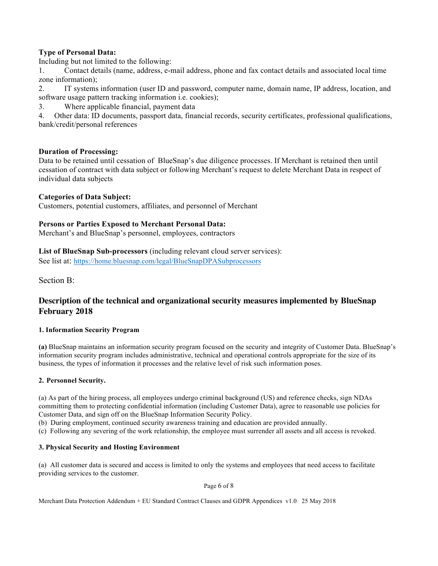# **Type of Personal Data:**

Including but not limited to the following:

1. Contact details (name, address, e-mail address, phone and fax contact details and associated local time zone information);

2. IT systems information (user ID and password, computer name, domain name, IP address, location, and software usage pattern tracking information i.e. cookies);

3. Where applicable financial, payment data

4. Other data: ID documents, passport data, financial records, security certificates, professional qualifications, bank/credit/personal references

# **Duration of Processing:**

Data to be retained until cessation of BlueSnap's due diligence processes. If Merchant is retained then until cessation of contract with data subject or following Merchant's request to delete Merchant Data in respect of individual data subjects

# **Categories of Data Subject:**

Customers, potential customers, affiliates, and personnel of Merchant

## **Persons or Parties Exposed to Merchant Personal Data:**

Merchant's and BlueSnap's personnel, employees, contractors

# **List of BlueSnap Sub-processors** (including relevant cloud server services):

See list at: https://home.bluesnap.com/legal/BlueSnapDPASubprocessors

Section B:

# **Description of the technical and organizational security measures implemented by BlueSnap February 2018**

### **1. Information Security Program**

**(a)** BlueSnap maintains an information security program focused on the security and integrity of Customer Data. BlueSnap's information security program includes administrative, technical and operational controls appropriate for the size of its business, the types of information it processes and the relative level of risk such information poses.

### **2. Personnel Security.**

(a) As part of the hiring process, all employees undergo criminal background (US) and reference checks, sign NDAs committing them to protecting confidential information (including Customer Data), agree to reasonable use policies for Customer Data, and sign off on the BlueSnap Information Security Policy.

(b) During employment, continued security awareness training and education are provided annually.

(c) Following any severing of the work relationship, the employee must surrender all assets and all access is revoked.

### **3. Physical Security and Hosting Environment**

(a) All customer data is secured and access is limited to only the systems and employees that need access to facilitate providing services to the customer.

Page 6 of 8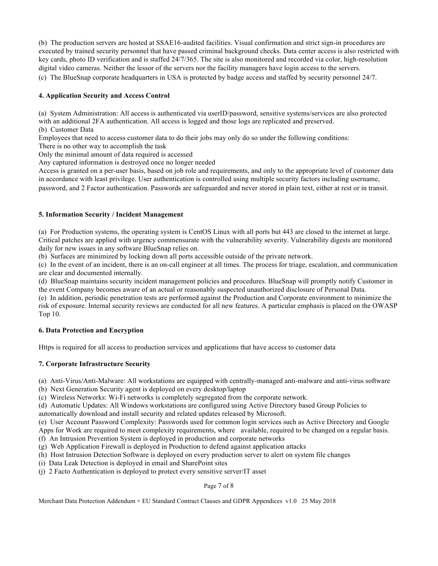(b) The production servers are hosted at SSAE16-audited facilities. Visual confirmation and strict sign-in procedures are executed by trained security personnel that have passed criminal background checks. Data center access is also restricted with key cards, photo ID verification and is staffed 24/7/365. The site is also monitored and recorded via color, high-resolution digital video cameras. Neither the lessor of the servers nor the facility managers have login access to the servers. (c) The BlueSnap corporate headquarters in USA is protected by badge access and staffed by security personnel 24/7.

### **4. Application Security and Access Control**

(a) System Administration: All access is authenticated via userID/password, sensitive systems/services are also protected with an additional 2FA authentication. All access is logged and those logs are replicated and preserved. (b) Customer Data

Employees that need to access customer data to do their jobs may only do so under the following conditions:

There is no other way to accomplish the task

Only the minimal amount of data required is accessed

Any captured information is destroyed once no longer needed

Access is granted on a per-user basis, based on job role and requirements, and only to the appropriate level of customer data in accordance with least privilege. User authentication is controlled using multiple security factors including username, password, and 2 Factor authentication. Passwords are safeguarded and never stored in plain text, either at rest or in transit.

## **5. Information Security / Incident Management**

(a) For Production systems, the operating system is CentOS Linux with all ports but 443 are closed to the internet at large. Critical patches are applied with urgency commensurate with the vulnerability severity. Vulnerability digests are monitored daily for new issues in any software BlueSnap relies on.

(b) Surfaces are minimized by locking down all ports accessible outside of the private network.

(c) In the event of an incident, there is an on-call engineer at all times. The process for triage, escalation, and communication are clear and documented internally.

(d) BlueSnap maintains security incident management policies and procedures. BlueSnap will promptly notify Customer in the event Company becomes aware of an actual or reasonably suspected unauthorized disclosure of Personal Data.

(e) In addition, periodic penetration tests are performed against the Production and Corporate environment to minimize the risk of exposure. Internal security reviews are conducted for all new features. A particular emphasis is placed on the OWASP Top 10.

### **6. Data Protection and Encryption**

Https is required for all access to production services and applications that have access to customer data

# **7. Corporate Infrastructure Security**

(a) Anti-Virus/Anti-Malware: All workstations are equipped with centrally-managed anti-malware and anti-virus software

- (b) Next Generation Security agent is deployed on every desktop/laptop
- (c) Wireless Networks: Wi-Fi networks is completely segregated from the corporate network.

(d) Automatic Updates: All Windows workstations are configured using Active Directory based Group Policies to

automatically download and install security and related updates released by Microsoft.

(e) User Account Password Complexity: Passwords used for common login services such as Active Directory and Google Apps for Work are required to meet complexity requirements, where available, required to be changed on a regular basis.

- (f) An Intrusion Prevention System is deployed in production and corporate networks
- (g) Web Application Firewall is deployed in Production to defend against application attacks
- (h) Host Intrusion Detection Software is deployed on every production server to alert on system file changes
- (i) Data Leak Detection is deployed in email and SharePoint sites
- (j) 2 Facto Authentication is deployed to protect every sensitive server/IT asset

### Page 7 of 8